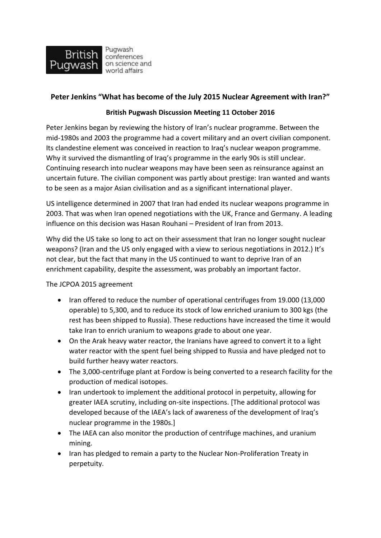

## **Peter Jenkins "What has become of the July 2015 Nuclear Agreement with Iran?"**

## **British Pugwash Discussion Meeting 11 October 2016**

Peter Jenkins began by reviewing the history of Iran's nuclear programme. Between the mid-1980s and 2003 the programme had a covert military and an overt civilian component. Its clandestine element was conceived in reaction to Iraq's nuclear weapon programme. Why it survived the dismantling of Iraq's programme in the early 90s is still unclear. Continuing research into nuclear weapons may have been seen as reinsurance against an uncertain future. The civilian component was partly about prestige: Iran wanted and wants to be seen as a major Asian civilisation and as a significant international player.

US intelligence determined in 2007 that Iran had ended its nuclear weapons programme in 2003. That was when Iran opened negotiations with the UK, France and Germany. A leading influence on this decision was Hasan Rouhani – President of Iran from 2013.

Why did the US take so long to act on their assessment that Iran no longer sought nuclear weapons? (Iran and the US only engaged with a view to serious negotiations in 2012.) It's not clear, but the fact that many in the US continued to want to deprive Iran of an enrichment capability, despite the assessment, was probably an important factor.

The JCPOA 2015 agreement

- Iran offered to reduce the number of operational centrifuges from 19.000 (13,000 operable) to 5,300, and to reduce its stock of low enriched uranium to 300 kgs (the rest has been shipped to Russia). These reductions have increased the time it would take Iran to enrich uranium to weapons grade to about one year.
- On the Arak heavy water reactor, the Iranians have agreed to convert it to a light water reactor with the spent fuel being shipped to Russia and have pledged not to build further heavy water reactors.
- The 3,000-centrifuge plant at Fordow is being converted to a research facility for the production of medical isotopes.
- Iran undertook to implement the additional protocol in perpetuity, allowing for greater IAEA scrutiny, including on-site inspections. [The additional protocol was developed because of the IAEA's lack of awareness of the development of Iraq's nuclear programme in the 1980s.]
- The IAEA can also monitor the production of centrifuge machines, and uranium mining.
- Iran has pledged to remain a party to the Nuclear Non-Proliferation Treaty in perpetuity.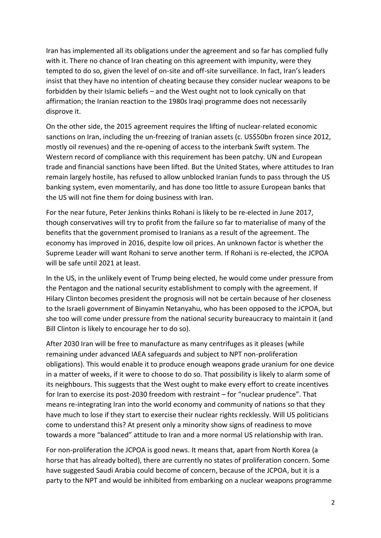Iran has implemented all its obligations under the agreement and so far has complied fully with it. There no chance of Iran cheating on this agreement with impunity, were they tempted to do so, given the level of on-site and off-site surveillance. In fact, Iran's leaders insist that they have no intention of cheating because they consider nuclear weapons to be forbidden by their Islamic beliefs – and the West ought not to look cynically on that affirmation; the Iranian reaction to the 1980s Iraqi programme does not necessarily disprove it.

On the other side, the 2015 agreement requires the lifting of nuclear-related economic sanctions on Iran, including the un-freezing of Iranian assets (c. US\$50bn frozen since 2012, mostly oil revenues) and the re-opening of access to the interbank Swift system. The Western record of compliance with this requirement has been patchy. UN and European trade and financial sanctions have been lifted. But the United States, where attitudes to Iran remain largely hostile, has refused to allow unblocked Iranian funds to pass through the US banking system, even momentarily, and has done too little to assure European banks that the US will not fine them for doing business with Iran.

For the near future, Peter Jenkins thinks Rohani is likely to be re-elected in June 2017, though conservatives will try to profit from the failure so far to materialise of many of the benefits that the government promised to Iranians as a result of the agreement. The economy has improved in 2016, despite low oil prices. An unknown factor is whether the Supreme Leader will want Rohani to serve another term. If Rohani is re-elected, the JCPOA will be safe until 2021 at least.

In the US, in the unlikely event of Trump being elected, he would come under pressure from the Pentagon and the national security establishment to comply with the agreement. If Hilary Clinton becomes president the prognosis will not be certain because of her closeness to the Israeli government of Binyamin Netanyahu, who has been opposed to the JCPOA, but she too will come under pressure from the national security bureaucracy to maintain it (and Bill Clinton is likely to encourage her to do so).

After 2030 Iran will be free to manufacture as many centrifuges as it pleases (while remaining under advanced IAEA safeguards and subject to NPT non-proliferation obligations). This would enable it to produce enough weapons grade uranium for one device in a matter of weeks, if it were to choose to do so. That possibility is likely to alarm some of its neighbours. This suggests that the West ought to make every effort to create incentives for Iran to exercise its post-2030 freedom with restraint – for "nuclear prudence". That means re-integrating Iran into the world economy and community of nations so that they have much to lose if they start to exercise their nuclear rights recklessly. Will US politicians come to understand this? At present only a minority show signs of readiness to move towards a more "balanced" attitude to Iran and a more normal US relationship with Iran.

For non-proliferation the JCPOA is good news. It means that, apart from North Korea (a horse that has already bolted), there are currently no states of proliferation concern. Some have suggested Saudi Arabia could become of concern, because of the JCPOA, but it is a party to the NPT and would be inhibited from embarking on a nuclear weapons programme